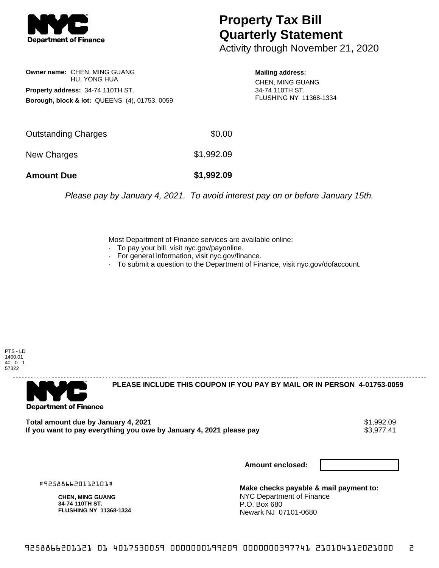

## **Property Tax Bill Quarterly Statement**

Activity through November 21, 2020

**Owner name:** CHEN, MING GUANG HU, YONG HUA **Property address:** 34-74 110TH ST. **Borough, block & lot:** QUEENS (4), 01753, 0059 **Mailing address:**

CHEN, MING GUANG 34-74 110TH ST. FLUSHING NY 11368-1334

| <b>Amount Due</b>   | \$1,992.09 |
|---------------------|------------|
| New Charges         | \$1,992.09 |
| Outstanding Charges | \$0.00     |

Please pay by January 4, 2021. To avoid interest pay on or before January 15th.

Most Department of Finance services are available online:

- · To pay your bill, visit nyc.gov/payonline.
- For general information, visit nyc.gov/finance.
- · To submit a question to the Department of Finance, visit nyc.gov/dofaccount.

PTS - LD 1400.01  $40 - 0 - 1$ 57322



**PLEASE INCLUDE THIS COUPON IF YOU PAY BY MAIL OR IN PERSON 4-01753-0059** 

**Total amount due by January 4, 2021**<br>If you want to pay everything you owe by January 4, 2021 please pay **show that the summer way of the s**3,977.41 If you want to pay everything you owe by January 4, 2021 please pay

**Amount enclosed:**

#925886620112101#

**CHEN, MING GUANG 34-74 110TH ST. FLUSHING NY 11368-1334**

**Make checks payable & mail payment to:** NYC Department of Finance P.O. Box 680 Newark NJ 07101-0680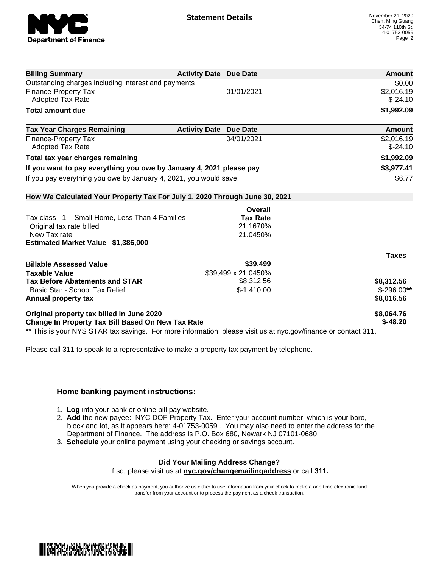

| <b>Billing Summary</b>                                                     | <b>Activity Date Due Date</b>           | <b>Amount</b> |
|----------------------------------------------------------------------------|-----------------------------------------|---------------|
| Outstanding charges including interest and payments                        |                                         | \$0.00        |
| Finance-Property Tax                                                       | 01/01/2021                              | \$2,016.19    |
| <b>Adopted Tax Rate</b>                                                    |                                         | $$-24.10$     |
| <b>Total amount due</b>                                                    |                                         | \$1,992.09    |
| <b>Tax Year Charges Remaining</b>                                          | <b>Activity Date</b><br><b>Due Date</b> | <b>Amount</b> |
| <b>Finance-Property Tax</b>                                                | 04/01/2021                              | \$2,016.19    |
| <b>Adopted Tax Rate</b>                                                    |                                         | $$-24.10$     |
| Total tax year charges remaining                                           |                                         | \$1,992.09    |
| If you want to pay everything you owe by January 4, 2021 please pay        |                                         | \$3,977.41    |
| If you pay everything you owe by January 4, 2021, you would save:          |                                         | \$6.77        |
| How We Calculated Your Property Tax For July 1, 2020 Through June 30, 2021 |                                         |               |
|                                                                            | Overall                                 |               |
| Tax class 1 - Small Home, Less Than 4 Families                             | <b>Tax Rate</b>                         |               |
| Original tax rate billed                                                   | 21.1670%                                |               |
| New Tax rate                                                               | 21.0450%                                |               |
| Estimated Market Value \$1,386,000                                         |                                         |               |
|                                                                            |                                         | <b>Taxes</b>  |
| <b>Billable Assessed Value</b>                                             | \$39,499                                |               |
| <b>Taxable Value</b>                                                       | \$39,499 x 21.0450%                     |               |
| <b>Tax Before Abatements and STAR</b>                                      | \$8,312.56                              | \$8,312.56    |
| Basic Star - School Tax Relief                                             | $$-1,410.00$                            | $$-296.00**$  |
| Annual property tax                                                        |                                         | \$8,016.56    |
| Original property tax billed in June 2020                                  |                                         | \$8,064.76    |
| Change In Property Tax Bill Based On New Tax Rate                          |                                         | $$-48.20$     |

Please call 311 to speak to a representative to make a property tax payment by telephone.

## **Home banking payment instructions:**

- 1. **Log** into your bank or online bill pay website.
- 2. **Add** the new payee: NYC DOF Property Tax. Enter your account number, which is your boro, block and lot, as it appears here: 4-01753-0059 . You may also need to enter the address for the Department of Finance. The address is P.O. Box 680, Newark NJ 07101-0680.
- 3. **Schedule** your online payment using your checking or savings account.

## **Did Your Mailing Address Change?**

If so, please visit us at **nyc.gov/changemailingaddress** or call **311.**

When you provide a check as payment, you authorize us either to use information from your check to make a one-time electronic fund transfer from your account or to process the payment as a check transaction.